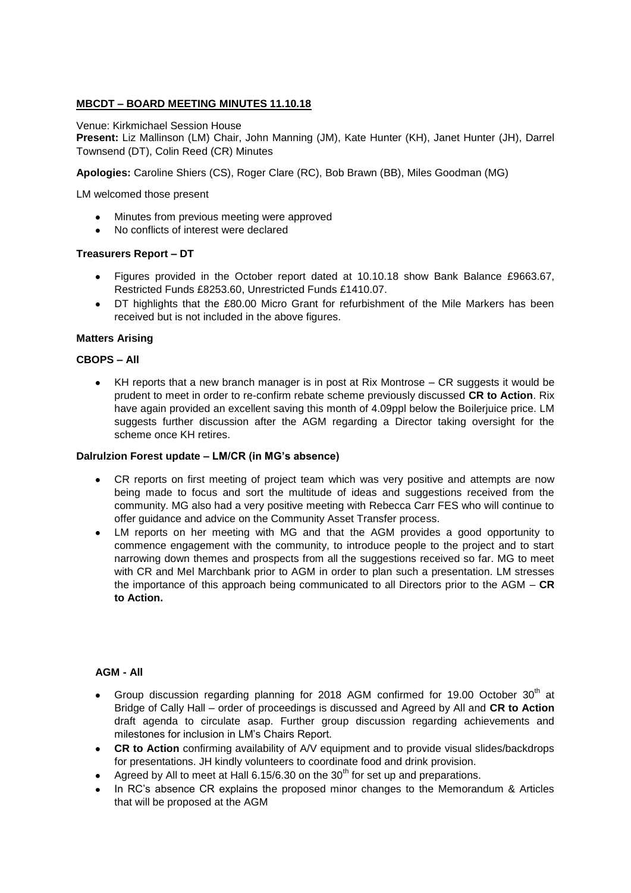# **MBCDT – BOARD MEETING MINUTES 11.10.18**

Venue: Kirkmichael Session House

**Present:** Liz Mallinson (LM) Chair, John Manning (JM), Kate Hunter (KH), Janet Hunter (JH), Darrel Townsend (DT), Colin Reed (CR) Minutes

**Apologies:** Caroline Shiers (CS), Roger Clare (RC), Bob Brawn (BB), Miles Goodman (MG)

LM welcomed those present

- Minutes from previous meeting were approved
- No conflicts of interest were declared

### **Treasurers Report – DT**

- Figures provided in the October report dated at 10.10.18 show Bank Balance £9663.67, Restricted Funds £8253.60, Unrestricted Funds £1410.07.
- DT highlights that the £80.00 Micro Grant for refurbishment of the Mile Markers has been received but is not included in the above figures.

## **Matters Arising**

## **CBOPS – All**

KH reports that a new branch manager is in post at Rix Montrose – CR suggests it would be  $\bullet$ prudent to meet in order to re-confirm rebate scheme previously discussed **CR to Action**. Rix have again provided an excellent saving this month of 4.09ppl below the Boilerjuice price. LM suggests further discussion after the AGM regarding a Director taking oversight for the scheme once KH retires.

#### **Dalrulzion Forest update – LM/CR (in MG's absence)**

- CR reports on first meeting of project team which was very positive and attempts are now being made to focus and sort the multitude of ideas and suggestions received from the community. MG also had a very positive meeting with Rebecca Carr FES who will continue to offer guidance and advice on the Community Asset Transfer process.
- LM reports on her meeting with MG and that the AGM provides a good opportunity to commence engagement with the community, to introduce people to the project and to start narrowing down themes and prospects from all the suggestions received so far. MG to meet with CR and Mel Marchbank prior to AGM in order to plan such a presentation. LM stresses the importance of this approach being communicated to all Directors prior to the AGM – **CR to Action.**

#### **AGM - All**

- Group discussion regarding planning for 2018 AGM confirmed for 19.00 October 30<sup>th</sup> at Bridge of Cally Hall – order of proceedings is discussed and Agreed by All and **CR to Action**  draft agenda to circulate asap. Further group discussion regarding achievements and milestones for inclusion in LM's Chairs Report.
- **CR to Action** confirming availability of A/V equipment and to provide visual slides/backdrops for presentations. JH kindly volunteers to coordinate food and drink provision.
- Agreed by All to meet at Hall  $6.15/6.30$  on the  $30<sup>th</sup>$  for set up and preparations.  $\bullet$
- In RC's absence CR explains the proposed minor changes to the Memorandum & Articles that will be proposed at the AGM